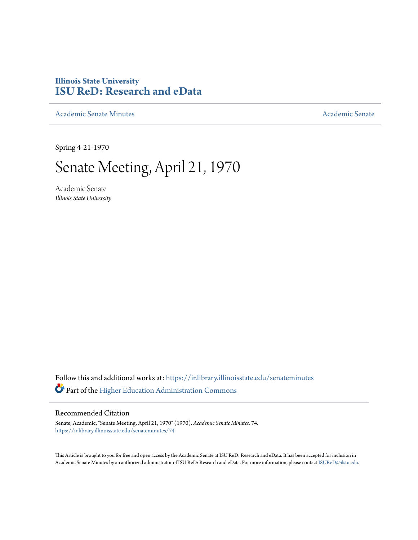# **Illinois State University [ISU ReD: Research and eData](https://ir.library.illinoisstate.edu?utm_source=ir.library.illinoisstate.edu%2Fsenateminutes%2F74&utm_medium=PDF&utm_campaign=PDFCoverPages)**

[Academic Senate Minutes](https://ir.library.illinoisstate.edu/senateminutes?utm_source=ir.library.illinoisstate.edu%2Fsenateminutes%2F74&utm_medium=PDF&utm_campaign=PDFCoverPages) [Academic Senate](https://ir.library.illinoisstate.edu/senate?utm_source=ir.library.illinoisstate.edu%2Fsenateminutes%2F74&utm_medium=PDF&utm_campaign=PDFCoverPages) Academic Senate

Spring 4-21-1970

# Senate Meeting, April 21, 1970

Academic Senate *Illinois State University*

Follow this and additional works at: [https://ir.library.illinoisstate.edu/senateminutes](https://ir.library.illinoisstate.edu/senateminutes?utm_source=ir.library.illinoisstate.edu%2Fsenateminutes%2F74&utm_medium=PDF&utm_campaign=PDFCoverPages) Part of the [Higher Education Administration Commons](http://network.bepress.com/hgg/discipline/791?utm_source=ir.library.illinoisstate.edu%2Fsenateminutes%2F74&utm_medium=PDF&utm_campaign=PDFCoverPages)

# Recommended Citation

Senate, Academic, "Senate Meeting, April 21, 1970" (1970). *Academic Senate Minutes*. 74. [https://ir.library.illinoisstate.edu/senateminutes/74](https://ir.library.illinoisstate.edu/senateminutes/74?utm_source=ir.library.illinoisstate.edu%2Fsenateminutes%2F74&utm_medium=PDF&utm_campaign=PDFCoverPages)

This Article is brought to you for free and open access by the Academic Senate at ISU ReD: Research and eData. It has been accepted for inclusion in Academic Senate Minutes by an authorized administrator of ISU ReD: Research and eData. For more information, please contact [ISUReD@ilstu.edu.](mailto:ISUReD@ilstu.edu)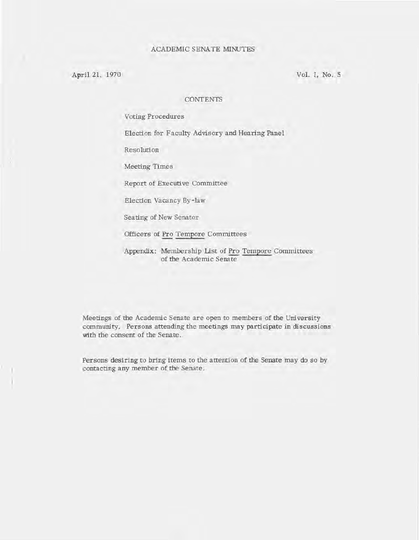April 21, 1970

Vol. I, No. 5

#### **CONTENTS**

Voting Procedures

Election for Faculty Advisory and Hearing Panel

Resolution

Meeting Times

Report of Executive Committee

Election Vacancy By-law

Seating of New Senator

Officers of Pro Tempore Committees

Appendix: Membership list of Pro Tempore Committees of the Academic Senate

Meetings of the Academic Senate are open to members of the Uni versity community. Persons attending the meetings may participate in discussions with the consent of the Senate.

Persons desiring to bring items to the attention of the Senate may do so by contacting any member of the Senate.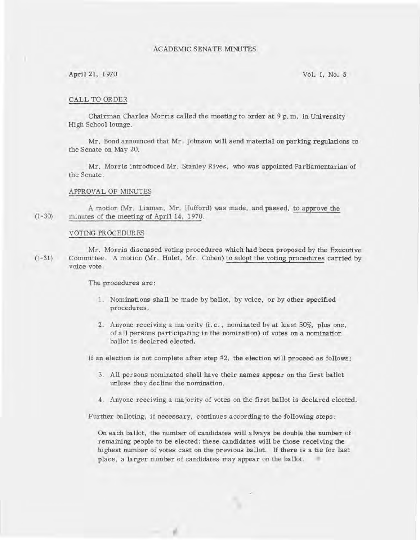#### ACADEMIC SENATE MINUTES

#### April 21, 1970 Vol. I, No. 5

#### CALL TO ORDER

Chairman Charles Morris called the meeting to order at  $9p$ , m. in University High School lounge.

Mr. Bond announced that Mr. Johnson will send material on parking regulations to the Senate on May 20.

Mr. Morris introduced Mr. Stanley Rives, who was appointed Parliamentarian of the Senate .

#### APPROVAL OF MINUTES

 $(1 - 30)$ A motion (Mr. Limnan, Mr. Hufford) was made, and passed, to approve the minutes of the meeting of April 14, 1970.

#### VOTING PR OCEDURES

 $(I - 31)$ Mr. Morris discussed voting procedures which had been proposed by the Executive Committee. A motion (Mr. Hulet, Mr. Cohen) to adopt the voting procedures carried by voice vote.

The procedures are:

- 1. Nominations shall be made by ballot, by voice, or by other specified procedures.
- 2. Anyone receiving a majority (i. e. , nominated by at least 50%, plus one , of all persons participating in the nOmination) of votes on a nomination ballot is declared elected.

If an election is not complete after step #2, the election will proceed as follows:

- 3. All persons nominated shall have their names appear on the first ballot unless they decline the nomination.
- 4. Anyone receiving a majority of votes on the first ballot is declared elected.

Further balloting, if necessary, continues according to the following steps:

ë

On each ballot, the number of candidates will always be double the number of remaining people to be elected; these candidates will be those receiving the highest number of votes cast on the previous ballot. If there is a tie for last place , a larger number of candidates may appear on the ballot.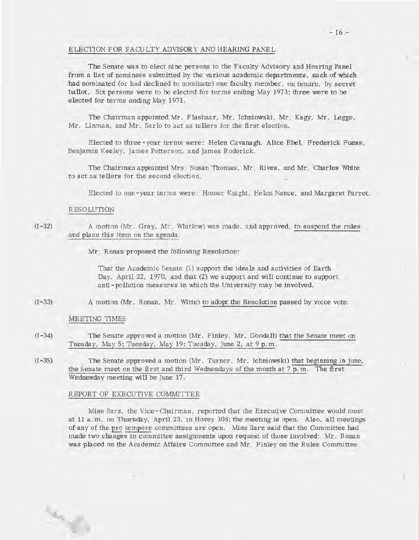#### ELECTION FOR FACULTY ADVISORY AND HEARING PANEL

The Senate was to elect nine persons to the Faculty Advisory and Hearing Panel from a list of nominees submitted by the various academic departments, each of which had nominated (or had declined to nominate) one faculty member, on tenure, by secret ballot. Six persons were to be elected for terms ending May 1973; three were to be elected for terms ending May 1971.

The Chairman appointed Mr. Flashaar, Mr. Ichniowski, Mr. Kagy, Mr. Legge, Mr. Linman, and Mr. Sarlo to act as tellers for the first election.

Elected to three - year terms were: Helen Cavanagh, Alice Ebel, Frederick Fuess, Benjamin Keeley, James Patterson, and James Roderick.

The Chairman appointed Mrs. Susan Thomas, Mr. Rives, and Mr. Charles White to act as tellers for the second election.

Elected to one-year terms were: Homer Knight, Helen Nance, and Margaret Parret.

#### RESOLUTION

#### $(I - 32)$ A motion (Mr. Gray, Mr. Whitlow) was made, and approved, to suspend the rules and place this item on the agenda.

Mr. Ronan proposed the following Resolution:

That the Academic Senate (1) support the ideals and activities of Earth Day, April 22, 1970, and that  $(2)$  we support and will continue to support anti-pollution measures in which the University may be involved.

 $(I - 33)$ A motion (Mr. Ronan, Mr. Witte) to adopt the Resolution passed by voice vote.

#### MEETING TIMES

 $\mathcal{P}_{\mathcal{A}}$ 

- $(I 34)$ The Senate approved a motion (Mr. Finley, Mr. Goodall) that the Senate meet on Tuesday, May 5; Tuesday, May 19; Tuesday, June 2, at 9 p.m.
- $(I 35)$ The Senate approved a motion (Mr. Turner, Mr. Ichniowski) that beginning in June, the Senate meet on the first and third Wednesdays of the month at 7 p. m. The first Wednesday meeting will be June 17.

#### REPORT OF EXECUTIVE COMMITTEE

•

Miss Barz, the Vice - Chairman, reported that the Executi ve Committee would meet at 11 a. m. on Thursday, April 23, in Hovey 308; the meeting is open. Also. all meetings of any of the pro tempore committees are open. Miss Barz said that the Committee had made two changes in committee assignments upon request of those involved: Mr. Ronan was placed on the Academic Affairs Committee and Mr. Finley on the Rules Committee .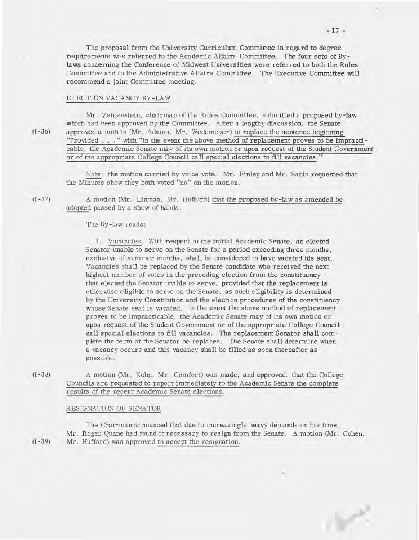The proposal from the University Curriculum Committee in regard to degree requirements was referred to the Academic Affairs Committee. The four sets of Bylaws concerning the Conference of Midwest Universities were referred to both the Rules Committee and to the Administrative Affairs Committee. The Executive Committee will recommend a joint Committee meeting.

#### ELECTION VACANCY BY-LAW

Mr. Zeidenstein, chairman of the Rules Committee, submitted a proposed by-law which had been approved by the Committee. After a lengthy discussion, the Senate approved a motion (Mr. Adams, Mr. Wedemeyer) to replace the sentence beginning "Provided. . ." with "In the event the above method of replacement proves to be impracticable, the Academic Senate may of its own motion or upon request of the Student Government or of the appropriate College Council call special elections to fill vacancies."

Note: the motion carried by voice vote. Mr. Finley and Mr. Sarlo requested that the Minutes show they both voted "no" on the motion.

A motion (Mr. Linman, Mr. Hufford) that the proposed by-law as amended be a dopted passed by a show of hands.

#### The By-law reads:

1. Vacancies. With respect to the initial Academic Senate, an elected Senator unable to serve on the Senate for a period exceeding three months, exclusive of summer months, shall be considered to have vacated his seat. Vacancies shall be replaced by the Senate candidate who received the next highest number of votes in the preceding election from the constituency that elected the Senator unable to serve, provided that the replacement is otherwise eligible to serve on the Senate, as such eligibility is determined by the Uni versity Constitution and the election procedures of the constituency whose Senate seat is vacated. In the event the above method of replacement proves to be impracticable, the Academic Senate may of its own motion or upon request of the Student Government or of the appropriate College Council call special elections to fill vacancies. The replacement Senator shall complete the term of the Senator he replaces. The Senate shall determine when a vacancy occurs and this vacancy shall be filled as soon thereafter as possible.

A motion (Mr. Kohn, Mr. Comfort) was made, and approved, that the College Councils are requested to report immediately to the Academic Senate the complete results of the recent Academic Senate elections.

#### RESIGNATION OF SENATOR

The Chairman announced that due to increasingly heavy demands on his time, Mr. Roger Quane had found it necessary to resign from the Senate. A motion (Mr. Cohen, Mr. Hufford) was approved to accept the resignation.

 $(1 - 39)$ 

 $(I - 38)$ 

6<sup>2</sup>

 $(I - 36)$ 

 $(1 - 37)$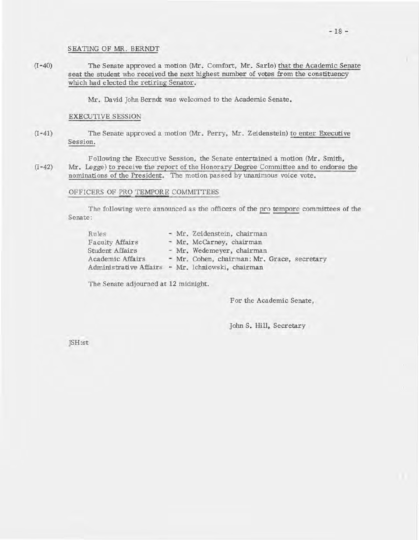#### SEATING OF MR. BERNDT

 $(I - 40)$ The Senate approved a motion (Mr. Comfort, Mr. Sarlo) that the Academic Senate seat the student who received the next highest number of votes from the constituency which had elected the retiring Senator.

Mr. David John Berndt was welcomed to the Academic Senate.

#### EXECUTIVE SESSION

 $(I - 41)$ The Senate approved a motion (Mr. Perry, Mr. Zeidenstein) to enter Executive Session.

 $(I - 42)$ Following the Executive Session, the Senate entertained a motion (Mr. Smith, Mr. Legge) to receive the report of the Honorary Degree Committee and to endorse the nominations of the President. The motion passed by unanimous voice vote.

#### OFFICERS OF PRO TEMPORE COMMITTEES

The following were announced as the officers of the pro tempore committees of the Senate:

| Rules                                             |  | - Mr. Zeidenstein, chairman                 |  |  |  |  |  |  |  |
|---------------------------------------------------|--|---------------------------------------------|--|--|--|--|--|--|--|
| Faculty Affairs                                   |  | - Mr. McCarney, chairman                    |  |  |  |  |  |  |  |
| Student Affairs                                   |  | - Mr. Wedemeyer, chairman                   |  |  |  |  |  |  |  |
| Academic Affairs                                  |  | - Mr. Cohen, chairman; Mr. Grace, secretary |  |  |  |  |  |  |  |
| Administrative Affairs - Mr. Ichniowski, chairman |  |                                             |  |  |  |  |  |  |  |

The Senate adjourned at 12 midnight.

For the Academic Senate,

John S. Hill, Secretary

JSH:st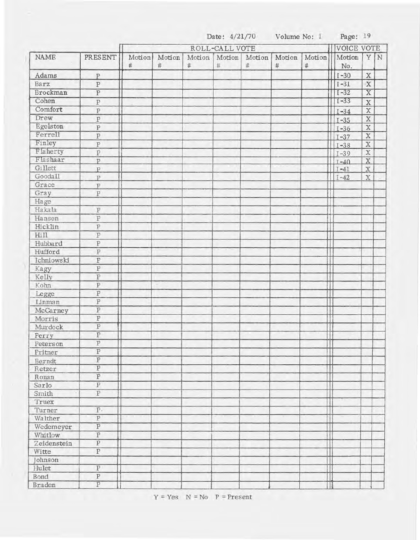|                        |                         | Date: 4/21/70 |                |        |        |                   |        |             | Volume No: I Page: 19   |                         |  |
|------------------------|-------------------------|---------------|----------------|--------|--------|-------------------|--------|-------------|-------------------------|-------------------------|--|
| <b>NAME</b><br>PRESENT |                         |               | ROLL-CALL VOTE |        |        | <b>VOICE VOTE</b> |        |             |                         |                         |  |
|                        | Motion                  | Motion        | Motion         | Motion | Motion | Motion            | Motion | Motion      | YN                      |                         |  |
|                        |                         | $\#$          | $\#$           | $\#$   | $\#$   | $\#$              | $\#$   | $\#$        | No.                     |                         |  |
| Adams                  | $\overline{P}$          |               |                |        |        |                   |        |             | $I - 30$                | $\mathbf X$             |  |
| Barz                   | $\overline{P}$          |               |                |        |        |                   |        |             | $I-31$                  | $\mathbf X$             |  |
| Brockman               | $\overline{P}$          |               |                |        |        |                   |        |             | $I-32$                  | $\overline{\mathbf{X}}$ |  |
| Cohen                  | $\overline{P}$          |               |                |        |        |                   |        |             | $I - 33$                | $\mathbf X$             |  |
| Comfort                | ${\bf P}$               |               |                |        |        |                   |        |             | $II-34$                 | $\mathbf X$             |  |
| Drew                   | ${\bf P}$               |               |                |        |        |                   |        |             | $1 - 35$                | $\mathbf X$             |  |
| Egelston               | ${\bf P}$               |               |                |        |        |                   |        |             | $\prod$ <sub>I-36</sub> | $\mathbf X$             |  |
| Ferrell                | $\, {\bf P}$            |               |                |        |        |                   |        |             | $\prod$ I-37            | $\mathbf X$             |  |
| Finley                 | ${\bf P}$               |               |                |        |        |                   |        |             | $\prod$ <sub>I-38</sub> | $\mathbf X$             |  |
| Flaherty               | $\overline{P}$          |               |                |        |        |                   |        |             | $\prod$ <sub>I-39</sub> | $\overline{X}$          |  |
| Flashaar               | $\overline{P}$          |               |                |        |        |                   |        |             | $\prod$ <sub>I-40</sub> | X                       |  |
| Gillett                | $\overline{P}$          |               |                |        |        |                   |        |             | $\prod$ <sub>I-41</sub> | $\mathbf X$             |  |
| Goodall                | $\overline{P}$          |               |                |        |        |                   |        |             | $\prod$ I-42            | X                       |  |
| Grace                  | $\overline{P}$          |               |                |        |        |                   |        |             |                         |                         |  |
| Gray                   | $\, {\bf P}$            |               |                |        |        |                   |        |             |                         |                         |  |
| Hage                   |                         |               |                |        |        |                   |        |             |                         |                         |  |
| Hakala                 | $\, {\bf p}$            |               |                |        |        |                   |        |             |                         |                         |  |
| Hansen                 | ${\bf P}$               |               |                |        |        |                   |        |             |                         |                         |  |
| Hicklin                | $\, {\bf p}$            |               |                |        |        |                   |        |             |                         |                         |  |
| Hill                   | ${\bf P}$               |               |                |        |        |                   |        |             |                         |                         |  |
| Hubbard                | $\rm P$                 |               |                |        |        |                   |        |             |                         |                         |  |
| Hufford                | $\overline{\mathbf{P}}$ |               |                |        |        |                   |        |             |                         |                         |  |
| Ichniowski             | ${\bf P}$               |               |                |        |        |                   |        |             |                         |                         |  |
| Kagy                   | $\overline{\text{P}}$   |               |                |        |        |                   |        |             |                         |                         |  |
| Kelly                  | $\rm P$                 |               |                |        |        |                   |        |             |                         |                         |  |
| Kohn                   | $\overline{P}$          |               |                |        |        |                   |        |             |                         |                         |  |
| Legge                  | ${\bf P}$               |               |                |        |        |                   |        |             |                         |                         |  |
| Linman                 | $\, {\bf p}$            |               |                |        |        |                   |        |             |                         |                         |  |
| McCarney               | $\overline{\mathbf{P}}$ |               |                |        |        |                   |        |             |                         |                         |  |
| Morris                 | $\, {\bf p}$            |               |                |        |        |                   |        |             |                         |                         |  |
| Murdock                | $\overline{P}$          |               |                |        |        |                   |        |             |                         |                         |  |
| Perry                  | $\overline{P}$          |               |                |        |        |                   |        | $\mathbb T$ |                         |                         |  |
| Peterson               | $\overline{\text{P}}$   |               |                |        |        |                   |        |             |                         |                         |  |
| Pritner                | $\overline{\mathbf{P}}$ |               |                |        |        |                   |        |             |                         |                         |  |
| Berndt                 | $\overline{\mathbf{P}}$ |               |                |        |        |                   |        |             |                         |                         |  |
| Retzer                 | $\overline{\mathbf{P}}$ |               |                |        |        |                   |        |             |                         |                         |  |
| Ronan                  | $\overline{P}$          |               |                |        |        |                   |        |             |                         |                         |  |
| Sarlo                  | $\overline{\text{P}}$   |               |                |        |        |                   |        |             |                         |                         |  |
| Smith                  | $\overline{P}$          |               |                |        |        |                   |        |             |                         |                         |  |
| Truex                  |                         |               |                |        |        |                   |        |             |                         |                         |  |
| Turner                 | $P$ .                   |               |                |        |        |                   |        |             |                         |                         |  |
| Walther                | $\overline{P}$          |               |                |        |        |                   |        |             |                         |                         |  |
| Wedemeyer              | $\overline{\mathbf{P}}$ |               |                |        |        |                   |        |             |                         |                         |  |
| Whitlow                | $\overline{P}$          |               |                |        |        |                   |        |             |                         |                         |  |
| Zeidenstein            | $\overline{\mathbf{P}}$ |               |                |        |        |                   |        |             |                         |                         |  |
| Witte                  | $\overline{\mathbf{P}}$ |               |                |        |        |                   |        |             |                         |                         |  |
| Johnson                |                         |               |                |        |        |                   |        |             |                         |                         |  |
| Hulet                  | $\overline{P}$          |               |                |        |        |                   |        |             |                         |                         |  |
| Bond                   | $\overline{\text{P}}$   |               |                |        |        |                   |        |             |                         |                         |  |
| Braden                 | $\overline{P}$          |               |                |        |        |                   |        |             |                         |                         |  |
|                        |                         |               |                |        |        |                   |        |             |                         |                         |  |

 $Y = Yes \tN = No \tP = Present$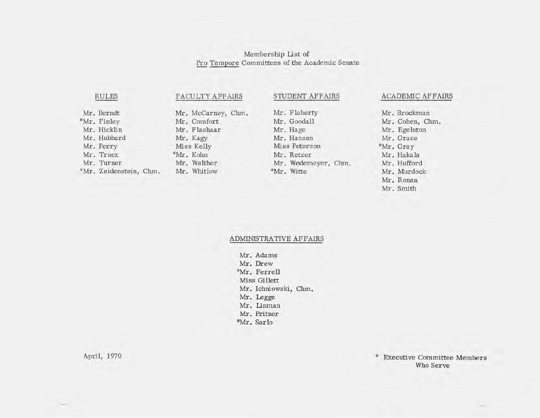# Membership Ust of Pro Tempore Committees of the Academic Senate

# RULES

# FACULTY AFFAIRS STUDENT AFFAIRS

Mr. Berndt \*Mr. Finley Mr. Hicklin Mr. Hubbard Mr. Perry Mr. Truex Mr. Turner \*Mr. Zeidenstein, Chm.

Mr. McCarney, Chm. Mr. Comfort Mr. Flashaar Mr. Hage Mr. Kagy Miss Kelly \*Mr. Kohn Mr. Walther Mr. Whitlow

Mr. Flaherty Mr. Goodall Mr. Hansen Miss Peterson Mr. Retzer Mr. Wedemeyer, Chm. \*Mr. Witte

# ACADEMIC AFFAIRS

Mr. Brockman Mr. Cohen, Chm. Mr. Egelston Mr. Grace \*Mr. Gray Mr. Hakala Mr. Hufford Mr. Murdock Mr. Ronan Mr. Smith

#### ADMINISTRATIVE AFFAIRS

Mr. Adams Mr. Drew \*Mr. Ferrell Miss Gillett Mr. Ichniowski, Chm. Mr. Legge Mr. Linman Mr. Pritner \*Mr. Sarlo

April, 1970 **\*** Executive Committee Members Who Serve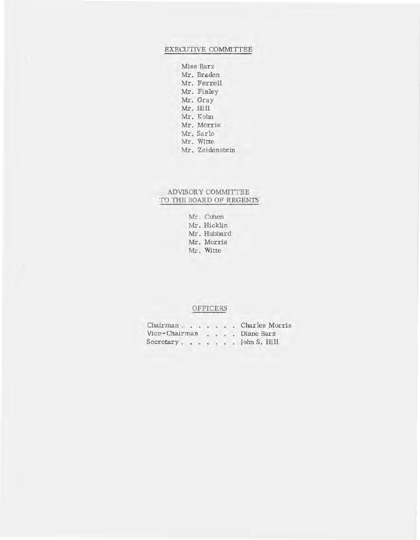### EXECUTIVE COMMITTEE

Miss Barz Mr. Braden Mr. Ferrell Mr. Finley Mr. Gray Mr. Hill Mr. Kohn Mr. Morris Mr. Sarlo Mr. Witte Mr. Zeidenstein

# ADVISOR Y COMMITTEE TO THE BOARD OF REGENTS

Mr. Cohen Mr. Hicklin Mr. Hubbard Mr. Morris Mr. Witte

#### OFFICERS

Chairman. Charles Morris Vice-Chairman . . . Diane Barz Secretary. . . . . . John S. Hill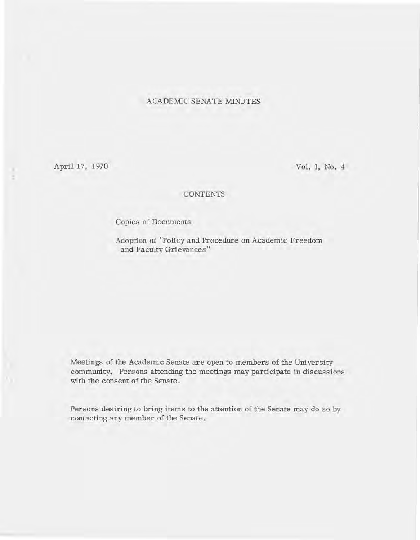# ACADEMIC SENATE MINUTES

April 17, 1970

Vol. I, No. 4

# CONTENTS

Copies of Documents

Adoption of "Policy and Procedure on Academic Freedom and Faculty Grievances"

Meetings of the Academic Senate are open to members of the Uni versity community. Persons attending the meetings may participate in discussions with the consent of the Senate.

Persons desiring to bring items to the attention of the Senate may do so by contacting any member of the Senate.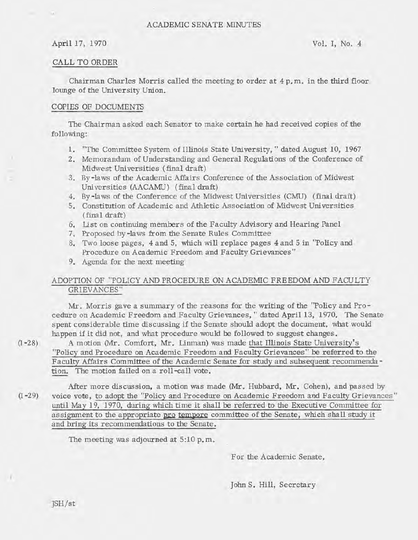### ACADEMIC SENATE MINUTES

#### April 17, 1970 Vol. I, No. 4

#### CALL TO ORDER

Chairman Charles Morris called the meeting to order at 4 p. m. in the third floor lounge of the University Union.

#### COPIES OF DOCUMENTS

The Chairman asked each Senator to make certain he had received copies of the following:

- 1. "The Committee System of Illinois State University, " dated August 10, 1967
- 2. Memorandum of Understanding and General Regulations of the Conference of Midwest Universities (final draft)
- 3. By-laws of the Academic Affairs Conference of the Association of Midwest Universities (AACAMU) (final draft)
- 4. By-laws of the Conference of the Midwest Universities (CMU) (final draft)
- 5. Constitution of Academic and Athletic Association of Midwest Universities (final draft)
- 6. List on continuing members of the Faculty Advisory and Hearing Panel
- 7. Proposed by -la ws from the Senate Rules Committee
- 8. Two loose pages, 4 and 5, which will replace pages 4 and 5 in "Policy and Procedure on Academic Freedom and Faculty Grievances"
- 9. Agenda for the next meeting

# ADOPTION OF "POLICY AND PROCEDURE ON ACADEMIC FREEDOM AND FACULTY GRIEVANCES"

Mr. Morris gave a summary of the reasons for the writing of the "Policy and Procedure on Academic Freedom and Faculty Grievances, " dated April 13, 1970. The Senate spent considerable time discussing if the Senate should adopt the document, what would happen if it did not, and what procedure would be followed to suggest changes.

 $(1 - 28)$ A motion (Mr. Comfort, Mr. Unman) was made that Illinois State University's "Policy and Procedure on Academic Freedom and Faculty Grievances" be referred to the Faculty Affairs Committee of the Academic Senate for study and subsequent recommendation. The motion failed on a roll-call vote.

 $(I - 29)$ After more discussion, a motion was made (Mr. Hubbard, Mr. Cohen), and passed by voice vote, to adopt the "Policy and Procedure on Academic Freedom and Faculty Grievances" until May 19, 1970, during which time it shall be referred to the Executive Committee for assignment to the appropriate pro tempore committee of the Senate, which shall study it and bring its recommendations to the Senate.

The meeting was adjourned at 5:10 p.m.

For the Academic Senate,

John S. Hill, Secretary